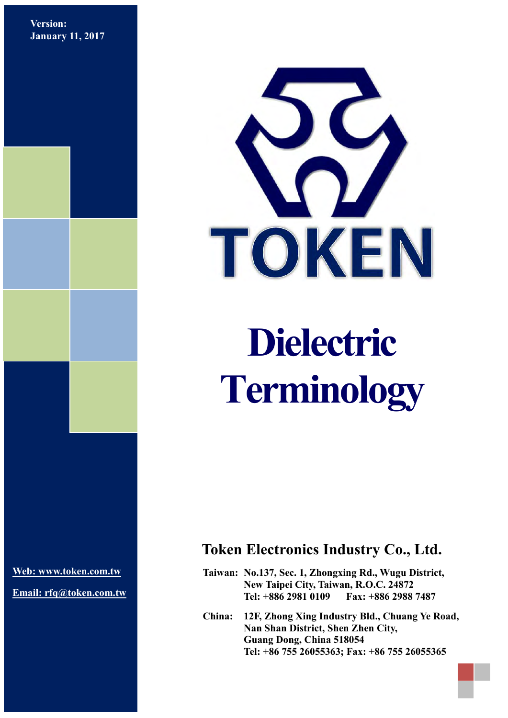**Version: January 11, 2017**



# **Dielectric Terminology**

**[Web: www.token.com.tw](http://www.token.com.tw/)**

**Email: rfq@token.com.tw**

# **Token Electronics Industry Co., Ltd.**

**Taiwan: No.137, Sec. 1, Zhongxing Rd., Wugu District, New Taipei City, Taiwan, R.O.C. 24872 Tel: +886 2981 0109 Fax: +886 2988 7487**

**China: 12F, Zhong Xing Industry Bld., Chuang Ye Road, Nan Shan District, Shen Zhen City, Guang Dong, China 518054 Tel: +86 755 26055363; Fax: +86 755 26055365**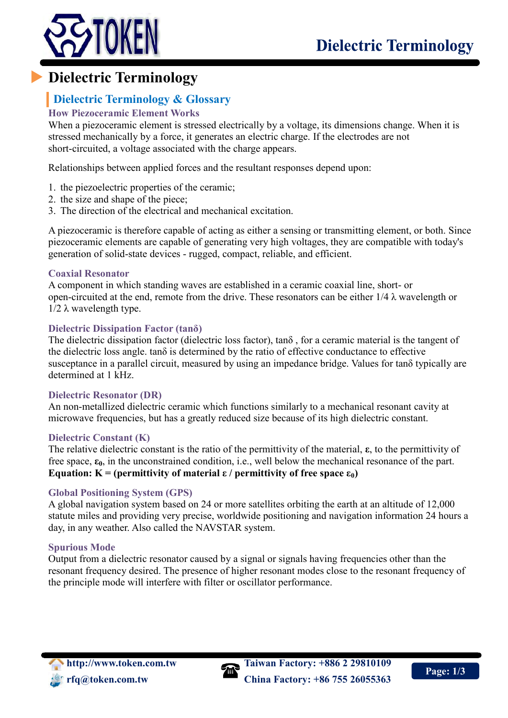

# **Dielectric Terminology**

## **Dielectric Terminology & Glossary**

#### **How Piezoceramic Element Works**

When a piezoceramic element is stressed electrically by a voltage, its dimensions change. When it is stressed mechanically by a force, it generates an electric charge. If the electrodes are not short-circuited, a voltage associated with the charge appears.

Relationships between applied forces and the resultant responses depend upon:

- 1. the piezoelectric properties of the ceramic;
- 2. the size and shape of the piece;
- 3. The direction of the electrical and mechanical excitation.

A piezoceramic is therefore capable of acting as either a sensing or transmitting element, or both. Since piezoceramic elements are capable of generating very high voltages, they are compatible with today's generation of solid-state devices - rugged, compact, reliable, and efficient.

#### **Coaxial Resonator**

A component in which standing waves are established in a ceramic coaxial line, short- or open-circuited at the end, remote from the drive. These resonators can be either  $1/4 \lambda$  wavelength or  $1/2$  λ wavelength type.

#### **Dielectric Dissipation Factor (tanδ)**

The dielectric dissipation factor (dielectric loss factor), tanδ , for a ceramic material is the tangent of the dielectric loss angle. tanδ is determined by the ratio of effective conductance to effective susceptance in a parallel circuit, measured by using an impedance bridge. Values for tanδ typically are determined at 1 kHz.

#### **Dielectric Resonator (DR)**

An non-metallized dielectric ceramic which functions similarly to a mechanical resonant cavity at microwave frequencies, but has a greatly reduced size because of its high dielectric constant.

#### **Dielectric Constant (K)**

The relative dielectric constant is the ratio of the permittivity of the material, **ε**, to the permittivity of free space, **ε0**, in the unconstrained condition, i.e., well below the mechanical resonance of the part. **Equation:**  $K = (permittivity of material ε / permittivity of free space ε<sub>0</sub>)$ 

#### **Global Positioning System (GPS)**

A global navigation system based on 24 or more satellites orbiting the earth at an altitude of 12,000 statute miles and providing very precise, worldwide positioning and navigation information 24 hours a day, in any weather. Also called the NAVSTAR system.

#### **Spurious Mode**

Output from a dielectric resonator caused by a signal or signals having frequencies other than the resonant frequency desired. The presence of higher resonant modes close to the resonant frequency of the principle mode will interfere with filter or oscillator performance.



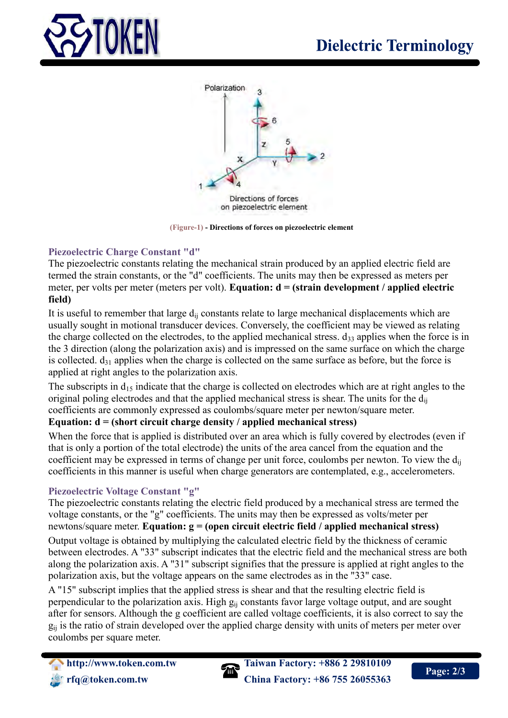



**(Figure-1) - Directions of forces on piezoelectric element**

#### **Piezoelectric Charge Constant "d"**

The piezoelectric constants relating the mechanical strain produced by an applied electric field are termed the strain constants, or the "d" coefficients. The units may then be expressed as meters per meter, per volts per meter (meters per volt). **Equation: d = (strain development / applied electric field)**

It is useful to remember that large  $d_{ii}$  constants relate to large mechanical displacements which are usually sought in motional transducer devices. Conversely, the coefficient may be viewed as relating the charge collected on the electrodes, to the applied mechanical stress.  $d_{33}$  applies when the force is in the 3 direction (along the polarization axis) and is impressed on the same surface on which the charge is collected.  $d_{31}$  applies when the charge is collected on the same surface as before, but the force is applied at right angles to the polarization axis.

The subscripts in  $d_{15}$  indicate that the charge is collected on electrodes which are at right angles to the original poling electrodes and that the applied mechanical stress is shear. The units for the  $d_{ii}$ coefficients are commonly expressed as coulombs/square meter per newton/square meter.

### **Equation: d = (short circuit charge density / applied mechanical stress)**

When the force that is applied is distributed over an area which is fully covered by electrodes (even if that is only a portion of the total electrode) the units of the area cancel from the equation and the coefficient may be expressed in terms of change per unit force, coulombs per newton. To view the  $d_{ii}$ coefficients in this manner is useful when charge generators are contemplated, e.g., accelerometers.

#### **Piezoelectric Voltage Constant "g"**

The piezoelectric constants relating the electric field produced by a mechanical stress are termed the voltage constants, or the "g" coefficients. The units may then be expressed as volts/meter per newtons/square meter. **Equation: g = (open circuit electric field / applied mechanical stress)**

Output voltage is obtained by multiplying the calculated electric field by the thickness of ceramic between electrodes. A "33" subscript indicates that the electric field and the mechanical stress are both along the polarization axis. A "31" subscript signifies that the pressure is applied at right angles to the polarization axis, but the voltage appears on the same electrodes as in the "33" case.

A "15" subscript implies that the applied stress is shear and that the resulting electric field is perpendicular to the polarization axis. High  $g_{ii}$  constants favor large voltage output, and are sought after for sensors. Although the g coefficient are called voltage coefficients, it is also correct to say the  $g_{ii}$  is the ratio of strain developed over the applied charge density with units of meters per meter over coulombs per square meter.